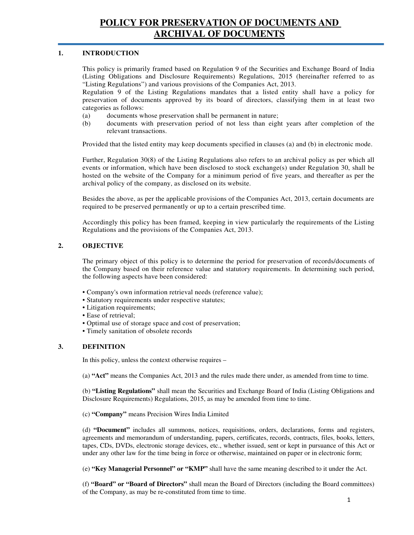#### **1. INTRODUCTION**

This policy is primarily framed based on Regulation 9 of the Securities and Exchange Board of India (Listing Obligations and Disclosure Requirements) Regulations, 2015 (hereinafter referred to as "Listing Regulations") and various provisions of the Companies Act, 2013.

Regulation 9 of the Listing Regulations mandates that a listed entity shall have a policy for preservation of documents approved by its board of directors, classifying them in at least two categories as follows:

- (a) documents whose preservation shall be permanent in nature;
- (b) documents with preservation period of not less than eight years after completion of the relevant transactions.

Provided that the listed entity may keep documents specified in clauses (a) and (b) in electronic mode.

Further, Regulation 30(8) of the Listing Regulations also refers to an archival policy as per which all events or information, which have been disclosed to stock exchange(s) under Regulation 30, shall be hosted on the website of the Company for a minimum period of five years, and thereafter as per the archival policy of the company, as disclosed on its website.

Besides the above, as per the applicable provisions of the Companies Act, 2013, certain documents are required to be preserved permanently or up to a certain prescribed time.

Accordingly this policy has been framed, keeping in view particularly the requirements of the Listing Regulations and the provisions of the Companies Act, 2013.

## **2. OBJECTIVE**

The primary object of this policy is to determine the period for preservation of records/documents of the Company based on their reference value and statutory requirements. In determining such period, the following aspects have been considered:

- Company's own information retrieval needs (reference value);
- Statutory requirements under respective statutes;
- Litigation requirements;
- Ease of retrieval;
- Optimal use of storage space and cost of preservation;
- Timely sanitation of obsolete records

#### **3. DEFINITION**

In this policy, unless the context otherwise requires –

(a) **"Act"** means the Companies Act, 2013 and the rules made there under, as amended from time to time.

(b) **"Listing Regulations"** shall mean the Securities and Exchange Board of India (Listing Obligations and Disclosure Requirements) Regulations, 2015, as may be amended from time to time.

(c) **"Company"** means Precision Wires India Limited

(d) **"Document"** includes all summons, notices, requisitions, orders, declarations, forms and registers, agreements and memorandum of understanding, papers, certificates, records, contracts, files, books, letters, tapes, CDs, DVDs, electronic storage devices, etc., whether issued, sent or kept in pursuance of this Act or under any other law for the time being in force or otherwise, maintained on paper or in electronic form;

(e) **"Key Managerial Personnel" or "KMP"** shall have the same meaning described to it under the Act.

(f) **"Board" or "Board of Directors"** shall mean the Board of Directors (including the Board committees) of the Company, as may be re-constituted from time to time.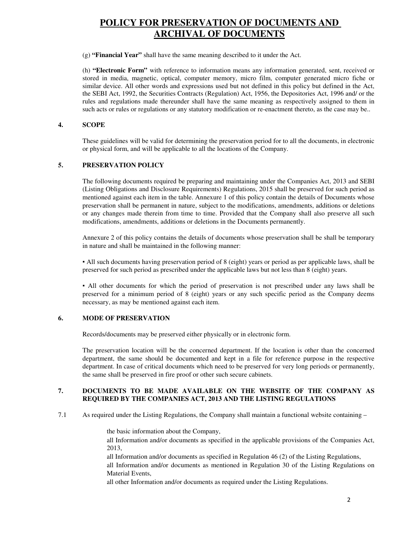(g) **"Financial Year"** shall have the same meaning described to it under the Act.

(h) **"Electronic Form"** with reference to information means any information generated, sent, received or stored in media, magnetic, optical, computer memory, micro film, computer generated micro fiche or similar device. All other words and expressions used but not defined in this policy but defined in the Act, the SEBI Act, 1992, the Securities Contracts (Regulation) Act, 1956, the Depositories Act, 1996 and/ or the rules and regulations made thereunder shall have the same meaning as respectively assigned to them in such acts or rules or regulations or any statutory modification or re-enactment thereto, as the case may be..

### **4. SCOPE**

These guidelines will be valid for determining the preservation period for to all the documents, in electronic or physical form, and will be applicable to all the locations of the Company.

## **5. PRESERVATION POLICY**

The following documents required be preparing and maintaining under the Companies Act, 2013 and SEBI (Listing Obligations and Disclosure Requirements) Regulations, 2015 shall be preserved for such period as mentioned against each item in the table. Annexure 1 of this policy contain the details of Documents whose preservation shall be permanent in nature, subject to the modifications, amendments, additions or deletions or any changes made therein from time to time. Provided that the Company shall also preserve all such modifications, amendments, additions or deletions in the Documents permanently.

Annexure 2 of this policy contains the details of documents whose preservation shall be shall be temporary in nature and shall be maintained in the following manner:

▪ All such documents having preservation period of 8 (eight) years or period as per applicable laws, shall be preserved for such period as prescribed under the applicable laws but not less than 8 (eight) years.

▪ All other documents for which the period of preservation is not prescribed under any laws shall be preserved for a minimum period of 8 (eight) years or any such specific period as the Company deems necessary, as may be mentioned against each item.

## **6. MODE OF PRESERVATION**

Records/documents may be preserved either physically or in electronic form.

The preservation location will be the concerned department. If the location is other than the concerned department, the same should be documented and kept in a file for reference purpose in the respective department. In case of critical documents which need to be preserved for very long periods or permanently, the same shall be preserved in fire proof or other such secure cabinets.

#### **7. DOCUMENTS TO BE MADE AVAILABLE ON THE WEBSITE OF THE COMPANY AS REQUIRED BY THE COMPANIES ACT, 2013 AND THE LISTING REGULATIONS**

7.1 As required under the Listing Regulations, the Company shall maintain a functional website containing –

the basic information about the Company,

 all Information and/or documents as specified in the applicable provisions of the Companies Act, 2013,

all Information and/or documents as specified in Regulation 46 (2) of the Listing Regulations,

all Information and/or documents as mentioned in Regulation 30 of the Listing Regulations on Material Events,

all other Information and/or documents as required under the Listing Regulations.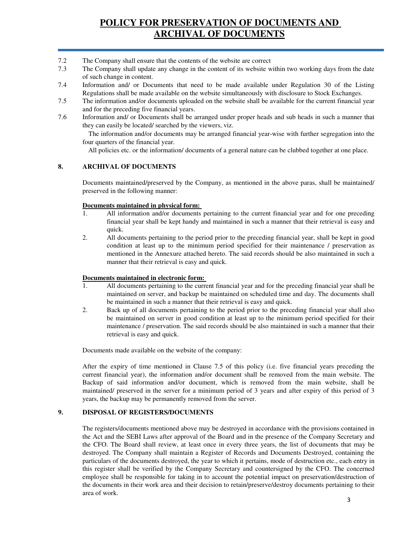- 7.2 The Company shall ensure that the contents of the website are correct
- 7.3 The Company shall update any change in the content of its website within two working days from the date of such change in content.
- 7.4 Information and/ or Documents that need to be made available under Regulation 30 of the Listing Regulations shall be made available on the website simultaneously with disclosure to Stock Exchanges.
- 7.5 The information and/or documents uploaded on the website shall be available for the current financial year and for the preceding five financial years.
- 7.6 Information and/ or Documents shall be arranged under proper heads and sub heads in such a manner that they can easily be located/ searched by the viewers, viz.

 The information and/or documents may be arranged financial year-wise with further segregation into the four quarters of the financial year.

All policies etc. or the information/ documents of a general nature can be clubbed together at one place.

#### **8. ARCHIVAL OF DOCUMENTS**

Documents maintained/preserved by the Company, as mentioned in the above paras, shall be maintained/ preserved in the following manner:

#### **Documents maintained in physical form:**

- 1. All information and/or documents pertaining to the current financial year and for one preceding financial year shall be kept handy and maintained in such a manner that their retrieval is easy and quick.
- 2. All documents pertaining to the period prior to the preceding financial year, shall be kept in good condition at least up to the minimum period specified for their maintenance / preservation as mentioned in the Annexure attached hereto. The said records should be also maintained in such a manner that their retrieval is easy and quick.

#### **Documents maintained in electronic form:**

- 1. All documents pertaining to the current financial year and for the preceding financial year shall be maintained on server, and backup be maintained on scheduled time and day. The documents shall be maintained in such a manner that their retrieval is easy and quick.
- 2. Back up of all documents pertaining to the period prior to the preceding financial year shall also be maintained on server in good condition at least up to the minimum period specified for their maintenance / preservation. The said records should be also maintained in such a manner that their retrieval is easy and quick.

Documents made available on the website of the company:

After the expiry of time mentioned in Clause 7.5 of this policy (i.e. five financial years preceding the current financial year), the information and/or document shall be removed from the main website. The Backup of said information and/or document, which is removed from the main website, shall be maintained/ preserved in the server for a minimum period of 3 years and after expiry of this period of 3 years, the backup may be permanently removed from the server.

### **9. DISPOSAL OF REGISTERS/DOCUMENTS**

The registers/documents mentioned above may be destroyed in accordance with the provisions contained in the Act and the SEBI Laws after approval of the Board and in the presence of the Company Secretary and the CFO. The Board shall review, at least once in every three years, the list of documents that may be destroyed. The Company shall maintain a Register of Records and Documents Destroyed, containing the particulars of the documents destroyed, the year to which it pertains, mode of destruction etc., each entry in this register shall be verified by the Company Secretary and countersigned by the CFO. The concerned employee shall be responsible for taking in to account the potential impact on preservation/destruction of the documents in their work area and their decision to retain/preserve/destroy documents pertaining to their area of work.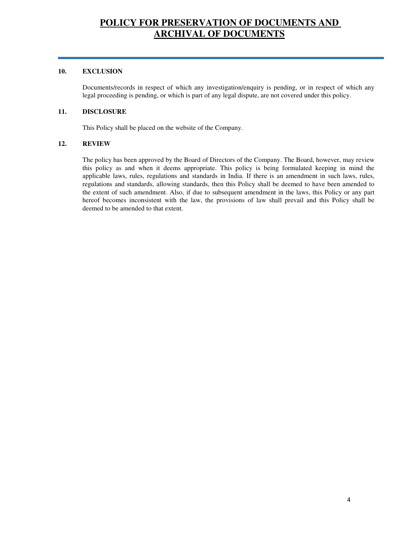#### **10. EXCLUSION**

Documents/records in respect of which any investigation/enquiry is pending, or in respect of which any legal proceeding is pending, or which is part of any legal dispute, are not covered under this policy.

## **11. DISCLOSURE**

This Policy shall be placed on the website of the Company.

### **12. REVIEW**

The policy has been approved by the Board of Directors of the Company. The Board, however, may review this policy as and when it deems appropriate. This policy is being formulated keeping in mind the applicable laws, rules, regulations and standards in India. If there is an amendment in such laws, rules, regulations and standards, allowing standards, then this Policy shall be deemed to have been amended to the extent of such amendment. Also, if due to subsequent amendment in the laws, this Policy or any part hereof becomes inconsistent with the law, the provisions of law shall prevail and this Policy shall be deemed to be amended to that extent.